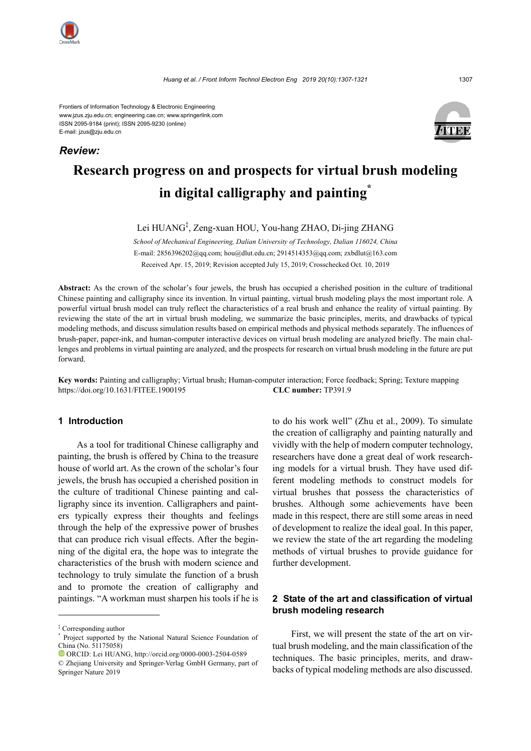

*Review:*

Frontiers of Information Technology & Electronic Engineering www.jzus.zju.edu.cn; engineering.cae.cn; www.springerlink.com ISSN 2095-9184 (print); ISSN 2095-9230 (online) E-mail: jzus@zju.edu.cn

# **Research progress on and prospects for virtual brush modeling in digital calligraphy and painting\***

Lei HUANG‡ , Zeng-xuan HOU, You-hang ZHAO, Di-jing ZHANG

*School of Mechanical Engineering, Dalian University of Technology, Dalian 116024, China* E-mail: 2856396202@qq.com; hou@dlut.edu.cn; 2914514353@qq.com; zxbdlut@163.com Received Apr. 15, 2019; Revision accepted July 15, 2019; Crosschecked Oct. 10, 2019

**Abstract:** As the crown of the scholar's four jewels, the brush has occupied a cherished position in the culture of traditional Chinese painting and calligraphy since its invention. In virtual painting, virtual brush modeling plays the most important role. A powerful virtual brush model can truly reflect the characteristics of a real brush and enhance the reality of virtual painting. By reviewing the state of the art in virtual brush modeling, we summarize the basic principles, merits, and drawbacks of typical modeling methods, and discuss simulation results based on empirical methods and physical methods separately. The influences of brush-paper, paper-ink, and human-computer interactive devices on virtual brush modeling are analyzed briefly. The main challenges and problems in virtual painting are analyzed, and the prospects for research on virtual brush modeling in the future are put forward.

**Key words:** Painting and calligraphy; Virtual brush; Human-computer interaction; Force feedback; Spring; Texture mapping https://doi.org/10.1631/FITEE.1900195 **CLC number:** TP391.9

#### **1 Introduction**

As a tool for traditional Chinese calligraphy and painting, the brush is offered by China to the treasure house of world art. As the crown of the scholar's four jewels, the brush has occupied a cherished position in the culture of traditional Chinese painting and calligraphy since its invention. Calligraphers and painters typically express their thoughts and feelings through the help of the expressive power of brushes that can produce rich visual effects. After the beginning of the digital era, the hope was to integrate the characteristics of the brush with modern science and technology to truly simulate the function of a brush and to promote the creation of calligraphy and paintings. "A workman must sharpen his tools if he is to do his work well" (Zhu et al., 2009). To simulate the creation of calligraphy and painting naturally and vividly with the help of modern computer technology, researchers have done a great deal of work researching models for a virtual brush. They have used different modeling methods to construct models for virtual brushes that possess the characteristics of brushes. Although some achievements have been made in this respect, there are still some areas in need of development to realize the ideal goal. In this paper, we review the state of the art regarding the modeling methods of virtual brushes to provide guidance for further development.

# **2 State of the art and classification of virtual brush modeling research**

First, we will present the state of the art on virtual brush modeling, and the main classification of the techniques. The basic principles, merits, and drawbacks of typical modeling methods are also discussed.

<sup>‡</sup> Corresponding author

<sup>\*</sup> Project supported by the National Natural Science Foundation of China (No. 51175058)

ORCID: Lei HUANG, http://orcid.org/0000-0003-2504-0589

<sup>©</sup> Zhejiang University and Springer-Verlag GmbH Germany, part of Springer Nature 2019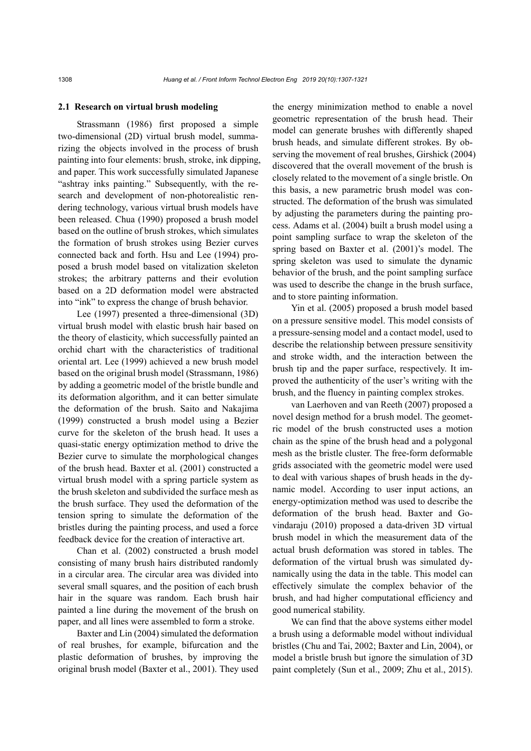#### **2.1 Research on virtual brush modeling**

Strassmann (1986) first proposed a simple two-dimensional (2D) virtual brush model, summarizing the objects involved in the process of brush painting into four elements: brush, stroke, ink dipping, and paper. This work successfully simulated Japanese "ashtray inks painting." Subsequently, with the research and development of non-photorealistic rendering technology, various virtual brush models have been released. Chua (1990) proposed a brush model based on the outline of brush strokes, which simulates the formation of brush strokes using Bezier curves connected back and forth. Hsu and Lee (1994) proposed a brush model based on vitalization skeleton strokes; the arbitrary patterns and their evolution based on a 2D deformation model were abstracted into "ink" to express the change of brush behavior.

Lee (1997) presented a three-dimensional (3D) virtual brush model with elastic brush hair based on the theory of elasticity, which successfully painted an orchid chart with the characteristics of traditional oriental art. Lee (1999) achieved a new brush model based on the original brush model (Strassmann, 1986) by adding a geometric model of the bristle bundle and its deformation algorithm, and it can better simulate the deformation of the brush. Saito and Nakajima (1999) constructed a brush model using a Bezier curve for the skeleton of the brush head. It uses a quasi-static energy optimization method to drive the Bezier curve to simulate the morphological changes of the brush head. Baxter et al. (2001) constructed a virtual brush model with a spring particle system as the brush skeleton and subdivided the surface mesh as the brush surface. They used the deformation of the tension spring to simulate the deformation of the bristles during the painting process, and used a force feedback device for the creation of interactive art.

Chan et al. (2002) constructed a brush model consisting of many brush hairs distributed randomly in a circular area. The circular area was divided into several small squares, and the position of each brush hair in the square was random. Each brush hair painted a line during the movement of the brush on paper, and all lines were assembled to form a stroke.

Baxter and Lin (2004) simulated the deformation of real brushes, for example, bifurcation and the plastic deformation of brushes, by improving the original brush model (Baxter et al., 2001). They used the energy minimization method to enable a novel geometric representation of the brush head. Their model can generate brushes with differently shaped brush heads, and simulate different strokes. By observing the movement of real brushes, Girshick (2004) discovered that the overall movement of the brush is closely related to the movement of a single bristle. On this basis, a new parametric brush model was constructed. The deformation of the brush was simulated by adjusting the parameters during the painting process. Adams et al. (2004) built a brush model using a point sampling surface to wrap the skeleton of the spring based on Baxter et al. (2001)'s model. The spring skeleton was used to simulate the dynamic behavior of the brush, and the point sampling surface was used to describe the change in the brush surface, and to store painting information.

Yin et al. (2005) proposed a brush model based on a pressure sensitive model. This model consists of a pressure-sensing model and a contact model, used to describe the relationship between pressure sensitivity and stroke width, and the interaction between the brush tip and the paper surface, respectively. It improved the authenticity of the user's writing with the brush, and the fluency in painting complex strokes.

van Laerhoven and van Reeth (2007) proposed a novel design method for a brush model. The geometric model of the brush constructed uses a motion chain as the spine of the brush head and a polygonal mesh as the bristle cluster. The free-form deformable grids associated with the geometric model were used to deal with various shapes of brush heads in the dynamic model. According to user input actions, an energy-optimization method was used to describe the deformation of the brush head. Baxter and Govindaraju (2010) proposed a data-driven 3D virtual brush model in which the measurement data of the actual brush deformation was stored in tables. The deformation of the virtual brush was simulated dynamically using the data in the table. This model can effectively simulate the complex behavior of the brush, and had higher computational efficiency and good numerical stability.

We can find that the above systems either model a brush using a deformable model without individual bristles (Chu and Tai, 2002; Baxter and Lin, 2004), or model a bristle brush but ignore the simulation of 3D paint completely (Sun et al., 2009; Zhu et al., 2015).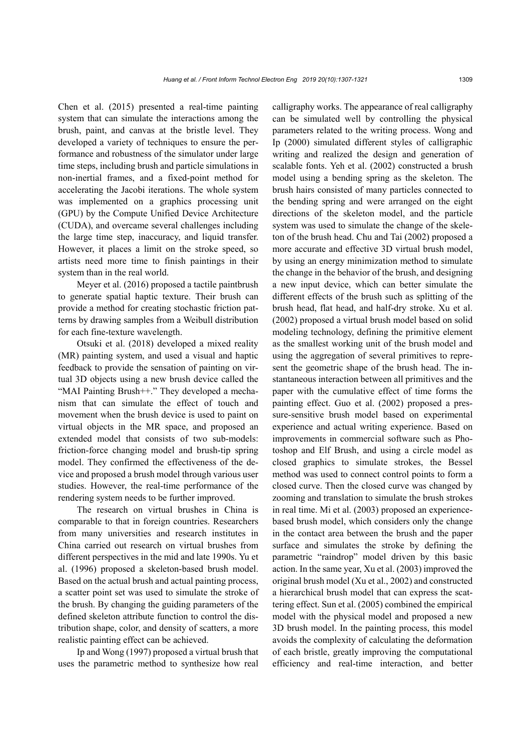Chen et al. (2015) presented a real-time painting system that can simulate the interactions among the brush, paint, and canvas at the bristle level. They developed a variety of techniques to ensure the performance and robustness of the simulator under large time steps, including brush and particle simulations in non-inertial frames, and a fixed-point method for accelerating the Jacobi iterations. The whole system was implemented on a graphics processing unit (GPU) by the Compute Unified Device Architecture (CUDA), and overcame several challenges including the large time step, inaccuracy, and liquid transfer. However, it places a limit on the stroke speed, so artists need more time to finish paintings in their system than in the real world.

Meyer et al. (2016) proposed a tactile paintbrush to generate spatial haptic texture. Their brush can provide a method for creating stochastic friction patterns by drawing samples from a Weibull distribution for each fine-texture wavelength.

Otsuki et al. (2018) developed a mixed reality (MR) painting system, and used a visual and haptic feedback to provide the sensation of painting on virtual 3D objects using a new brush device called the "MAI Painting Brush++." They developed a mechanism that can simulate the effect of touch and movement when the brush device is used to paint on virtual objects in the MR space, and proposed an extended model that consists of two sub-models: friction-force changing model and brush-tip spring model. They confirmed the effectiveness of the device and proposed a brush model through various user studies. However, the real-time performance of the rendering system needs to be further improved.

The research on virtual brushes in China is comparable to that in foreign countries. Researchers from many universities and research institutes in China carried out research on virtual brushes from different perspectives in the mid and late 1990s. Yu et al. (1996) proposed a skeleton-based brush model. Based on the actual brush and actual painting process, a scatter point set was used to simulate the stroke of the brush. By changing the guiding parameters of the defined skeleton attribute function to control the distribution shape, color, and density of scatters, a more realistic painting effect can be achieved.

Ip and Wong (1997) proposed a virtual brush that uses the parametric method to synthesize how real

calligraphy works. The appearance of real calligraphy can be simulated well by controlling the physical parameters related to the writing process. Wong and Ip (2000) simulated different styles of calligraphic writing and realized the design and generation of scalable fonts. Yeh et al. (2002) constructed a brush model using a bending spring as the skeleton. The brush hairs consisted of many particles connected to the bending spring and were arranged on the eight directions of the skeleton model, and the particle system was used to simulate the change of the skeleton of the brush head. Chu and Tai (2002) proposed a more accurate and effective 3D virtual brush model, by using an energy minimization method to simulate the change in the behavior of the brush, and designing a new input device, which can better simulate the different effects of the brush such as splitting of the brush head, flat head, and half-dry stroke. Xu et al. (2002) proposed a virtual brush model based on solid modeling technology, defining the primitive element as the smallest working unit of the brush model and using the aggregation of several primitives to represent the geometric shape of the brush head. The instantaneous interaction between all primitives and the paper with the cumulative effect of time forms the painting effect. Guo et al. (2002) proposed a pressure-sensitive brush model based on experimental experience and actual writing experience. Based on improvements in commercial software such as Photoshop and Elf Brush, and using a circle model as closed graphics to simulate strokes, the Bessel method was used to connect control points to form a closed curve. Then the closed curve was changed by zooming and translation to simulate the brush strokes in real time. Mi et al. (2003) proposed an experiencebased brush model, which considers only the change in the contact area between the brush and the paper surface and simulates the stroke by defining the parametric "raindrop" model driven by this basic action. In the same year, Xu et al. (2003) improved the original brush model (Xu et al., 2002) and constructed a hierarchical brush model that can express the scattering effect. Sun et al. (2005) combined the empirical model with the physical model and proposed a new 3D brush model. In the painting process, this model avoids the complexity of calculating the deformation of each bristle, greatly improving the computational efficiency and real-time interaction, and better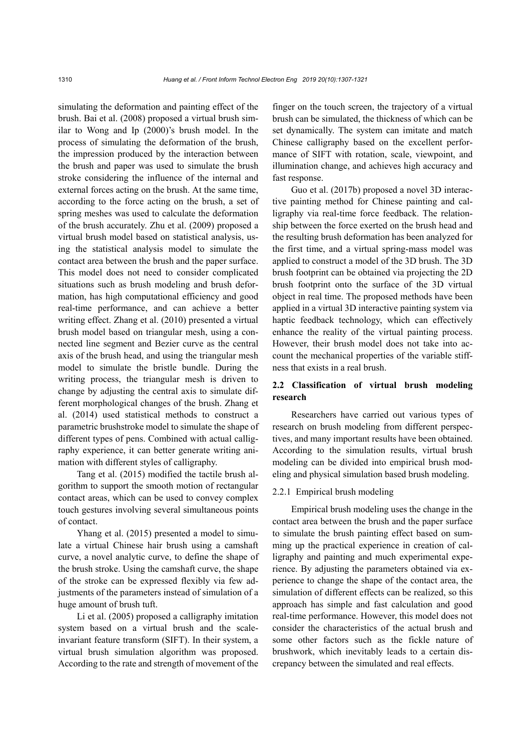simulating the deformation and painting effect of the brush. Bai et al. (2008) proposed a virtual brush similar to Wong and Ip (2000)'s brush model. In the process of simulating the deformation of the brush, the impression produced by the interaction between the brush and paper was used to simulate the brush stroke considering the influence of the internal and external forces acting on the brush. At the same time, according to the force acting on the brush, a set of spring meshes was used to calculate the deformation of the brush accurately. Zhu et al. (2009) proposed a virtual brush model based on statistical analysis, using the statistical analysis model to simulate the contact area between the brush and the paper surface. This model does not need to consider complicated situations such as brush modeling and brush deformation, has high computational efficiency and good real-time performance, and can achieve a better writing effect. Zhang et al. (2010) presented a virtual brush model based on triangular mesh, using a connected line segment and Bezier curve as the central axis of the brush head, and using the triangular mesh model to simulate the bristle bundle. During the writing process, the triangular mesh is driven to change by adjusting the central axis to simulate different morphological changes of the brush. Zhang et al. (2014) used statistical methods to construct a parametric brushstroke model to simulate the shape of different types of pens. Combined with actual calligraphy experience, it can better generate writing animation with different styles of calligraphy.

Tang et al. (2015) modified the tactile brush algorithm to support the smooth motion of rectangular contact areas, which can be used to convey complex touch gestures involving several simultaneous points of contact.

Yhang et al. (2015) presented a model to simulate a virtual Chinese hair brush using a camshaft curve, a novel analytic curve, to define the shape of the brush stroke. Using the camshaft curve, the shape of the stroke can be expressed flexibly via few adjustments of the parameters instead of simulation of a huge amount of brush tuft.

Li et al. (2005) proposed a calligraphy imitation system based on a virtual brush and the scaleinvariant feature transform (SIFT). In their system, a virtual brush simulation algorithm was proposed. According to the rate and strength of movement of the finger on the touch screen, the trajectory of a virtual brush can be simulated, the thickness of which can be set dynamically. The system can imitate and match Chinese calligraphy based on the excellent performance of SIFT with rotation, scale, viewpoint, and illumination change, and achieves high accuracy and fast response.

Guo et al. (2017b) proposed a novel 3D interactive painting method for Chinese painting and calligraphy via real-time force feedback. The relationship between the force exerted on the brush head and the resulting brush deformation has been analyzed for the first time, and a virtual spring-mass model was applied to construct a model of the 3D brush. The 3D brush footprint can be obtained via projecting the 2D brush footprint onto the surface of the 3D virtual object in real time. The proposed methods have been applied in a virtual 3D interactive painting system via haptic feedback technology, which can effectively enhance the reality of the virtual painting process. However, their brush model does not take into account the mechanical properties of the variable stiffness that exists in a real brush.

# **2.2 Classification of virtual brush modeling research**

Researchers have carried out various types of research on brush modeling from different perspectives, and many important results have been obtained. According to the simulation results, virtual brush modeling can be divided into empirical brush modeling and physical simulation based brush modeling.

# 2.2.1 Empirical brush modeling

Empirical brush modeling uses the change in the contact area between the brush and the paper surface to simulate the brush painting effect based on summing up the practical experience in creation of calligraphy and painting and much experimental experience. By adjusting the parameters obtained via experience to change the shape of the contact area, the simulation of different effects can be realized, so this approach has simple and fast calculation and good real-time performance. However, this model does not consider the characteristics of the actual brush and some other factors such as the fickle nature of brushwork, which inevitably leads to a certain discrepancy between the simulated and real effects.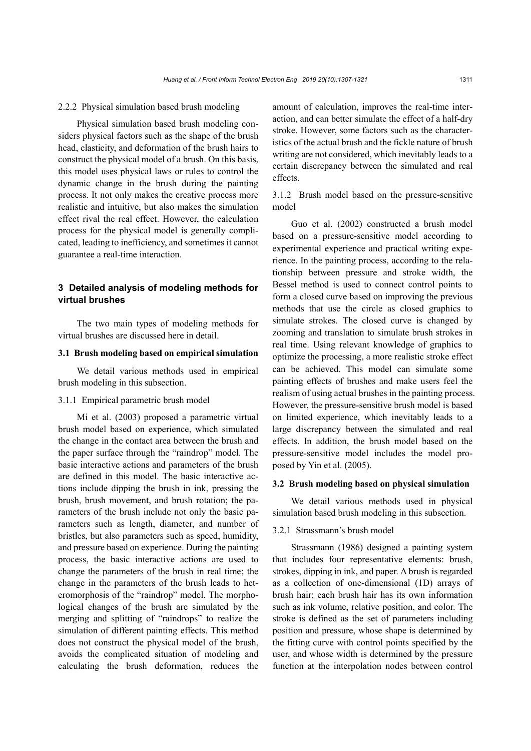#### 2.2.2 Physical simulation based brush modeling

Physical simulation based brush modeling considers physical factors such as the shape of the brush head, elasticity, and deformation of the brush hairs to construct the physical model of a brush. On this basis, this model uses physical laws or rules to control the dynamic change in the brush during the painting process. It not only makes the creative process more realistic and intuitive, but also makes the simulation effect rival the real effect. However, the calculation process for the physical model is generally complicated, leading to inefficiency, and sometimes it cannot guarantee a real-time interaction.

# **3 Detailed analysis of modeling methods for virtual brushes**

The two main types of modeling methods for virtual brushes are discussed here in detail.

# **3.1 Brush modeling based on empirical simulation**

We detail various methods used in empirical brush modeling in this subsection.

#### 3.1.1 Empirical parametric brush model

Mi et al. (2003) proposed a parametric virtual brush model based on experience, which simulated the change in the contact area between the brush and the paper surface through the "raindrop" model. The basic interactive actions and parameters of the brush are defined in this model. The basic interactive actions include dipping the brush in ink, pressing the brush, brush movement, and brush rotation; the parameters of the brush include not only the basic parameters such as length, diameter, and number of bristles, but also parameters such as speed, humidity, and pressure based on experience. During the painting process, the basic interactive actions are used to change the parameters of the brush in real time; the change in the parameters of the brush leads to heteromorphosis of the "raindrop" model. The morphological changes of the brush are simulated by the merging and splitting of "raindrops" to realize the simulation of different painting effects. This method does not construct the physical model of the brush, avoids the complicated situation of modeling and calculating the brush deformation, reduces the

amount of calculation, improves the real-time interaction, and can better simulate the effect of a half-dry stroke. However, some factors such as the characteristics of the actual brush and the fickle nature of brush writing are not considered, which inevitably leads to a certain discrepancy between the simulated and real effects.

3.1.2 Brush model based on the pressure-sensitive model

Guo et al. (2002) constructed a brush model based on a pressure-sensitive model according to experimental experience and practical writing experience. In the painting process, according to the relationship between pressure and stroke width, the Bessel method is used to connect control points to form a closed curve based on improving the previous methods that use the circle as closed graphics to simulate strokes. The closed curve is changed by zooming and translation to simulate brush strokes in real time. Using relevant knowledge of graphics to optimize the processing, a more realistic stroke effect can be achieved. This model can simulate some painting effects of brushes and make users feel the realism of using actual brushes in the painting process. However, the pressure-sensitive brush model is based on limited experience, which inevitably leads to a large discrepancy between the simulated and real effects. In addition, the brush model based on the pressure-sensitive model includes the model proposed by Yin et al. (2005).

#### **3.2 Brush modeling based on physical simulation**

We detail various methods used in physical simulation based brush modeling in this subsection.

# 3.2.1 Strassmann's brush model

Strassmann (1986) designed a painting system that includes four representative elements: brush, strokes, dipping in ink, and paper. A brush is regarded as a collection of one-dimensional (1D) arrays of brush hair; each brush hair has its own information such as ink volume, relative position, and color. The stroke is defined as the set of parameters including position and pressure, whose shape is determined by the fitting curve with control points specified by the user, and whose width is determined by the pressure function at the interpolation nodes between control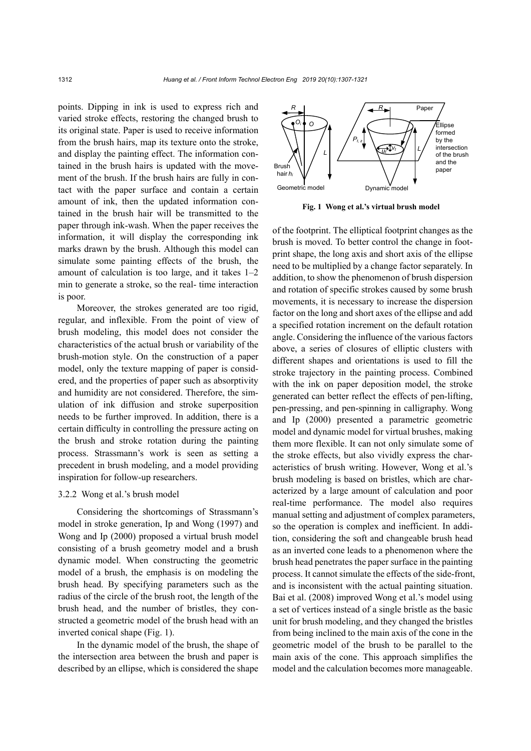points. Dipping in ink is used to express rich and varied stroke effects, restoring the changed brush to its original state. Paper is used to receive information from the brush hairs, map its texture onto the stroke, and display the painting effect. The information contained in the brush hairs is updated with the movement of the brush. If the brush hairs are fully in contact with the paper surface and contain a certain amount of ink, then the updated information contained in the brush hair will be transmitted to the paper through ink-wash. When the paper receives the information, it will display the corresponding ink marks drawn by the brush. Although this model can simulate some painting effects of the brush, the amount of calculation is too large, and it takes 1–2 min to generate a stroke, so the real- time interaction is poor.

Moreover, the strokes generated are too rigid, regular, and inflexible. From the point of view of brush modeling, this model does not consider the characteristics of the actual brush or variability of the brush-motion style. On the construction of a paper model, only the texture mapping of paper is considered, and the properties of paper such as absorptivity and humidity are not considered. Therefore, the simulation of ink diffusion and stroke superposition needs to be further improved. In addition, there is a certain difficulty in controlling the pressure acting on the brush and stroke rotation during the painting process. Strassmann's work is seen as setting a precedent in brush modeling, and a model providing inspiration for follow-up researchers.

#### 3.2.2 Wong et al.'s brush model

Considering the shortcomings of Strassmann's model in stroke generation, Ip and Wong (1997) and Wong and Ip (2000) proposed a virtual brush model consisting of a brush geometry model and a brush dynamic model. When constructing the geometric model of a brush, the emphasis is on modeling the brush head. By specifying parameters such as the radius of the circle of the brush root, the length of the brush head, and the number of bristles, they constructed a geometric model of the brush head with an inverted conical shape (Fig. 1).

In the dynamic model of the brush, the shape of the intersection area between the brush and paper is described by an ellipse, which is considered the shape



**Fig. 1 Wong et al.'s virtual brush model**

of the footprint. The elliptical footprint changes as the brush is moved. To better control the change in footprint shape, the long axis and short axis of the ellipse need to be multiplied by a change factor separately. In addition, to show the phenomenon of brush dispersion and rotation of specific strokes caused by some brush movements, it is necessary to increase the dispersion factor on the long and short axes of the ellipse and add a specified rotation increment on the default rotation angle. Considering the influence of the various factors above, a series of closures of elliptic clusters with different shapes and orientations is used to fill the stroke trajectory in the painting process. Combined with the ink on paper deposition model, the stroke generated can better reflect the effects of pen-lifting, pen-pressing, and pen-spinning in calligraphy. Wong and Ip (2000) presented a parametric geometric model and dynamic model for virtual brushes, making them more flexible. It can not only simulate some of the stroke effects, but also vividly express the characteristics of brush writing. However, Wong et al.'s brush modeling is based on bristles, which are characterized by a large amount of calculation and poor real-time performance. The model also requires manual setting and adjustment of complex parameters, so the operation is complex and inefficient. In addition, considering the soft and changeable brush head as an inverted cone leads to a phenomenon where the brush head penetrates the paper surface in the painting process. It cannot simulate the effects of the side-front, and is inconsistent with the actual painting situation. Bai et al. (2008) improved Wong et al.'s model using a set of vertices instead of a single bristle as the basic unit for brush modeling, and they changed the bristles from being inclined to the main axis of the cone in the geometric model of the brush to be parallel to the main axis of the cone. This approach simplifies the model and the calculation becomes more manageable.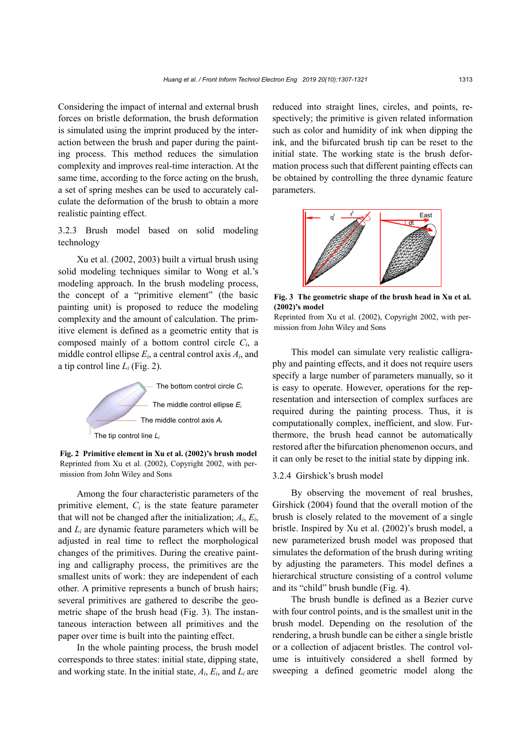Considering the impact of internal and external brush forces on bristle deformation, the brush deformation is simulated using the imprint produced by the interaction between the brush and paper during the painting process. This method reduces the simulation complexity and improves real-time interaction. At the same time, according to the force acting on the brush, a set of spring meshes can be used to accurately calculate the deformation of the brush to obtain a more realistic painting effect.

3.2.3 Brush model based on solid modeling technology

Xu et al. (2002, 2003) built a virtual brush using solid modeling techniques similar to Wong et al.'s modeling approach. In the brush modeling process, the concept of a "primitive element" (the basic painting unit) is proposed to reduce the modeling complexity and the amount of calculation. The primitive element is defined as a geometric entity that is composed mainly of a bottom control circle *Ci*, a middle control ellipse *Ei*, a central control axis *Ai*, and a tip control line *Li* (Fig. 2).



**Fig. 2 Primitive element in Xu et al. (2002)'s brush model** Reprinted from Xu et al. (2002), Copyright 2002, with permission from John Wiley and Sons

Among the four characteristic parameters of the primitive element,  $C_i$  is the state feature parameter that will not be changed after the initialization; *Ai*, *Ei*, and *Li* are dynamic feature parameters which will be adjusted in real time to reflect the morphological changes of the primitives. During the creative painting and calligraphy process, the primitives are the smallest units of work: they are independent of each other. A primitive represents a bunch of brush hairs; several primitives are gathered to describe the geometric shape of the brush head (Fig. 3). The instantaneous interaction between all primitives and the paper over time is built into the painting effect.

In the whole painting process, the brush model corresponds to three states: initial state, dipping state, and working state. In the initial state, *Ai*, *Ei*, and *Li* are reduced into straight lines, circles, and points, respectively; the primitive is given related information such as color and humidity of ink when dipping the ink, and the bifurcated brush tip can be reset to the initial state. The working state is the brush deformation process such that different painting effects can be obtained by controlling the three dynamic feature parameters.



**Fig. 3 The geometric shape of the brush head in Xu et al. (2002)'s model**

Reprinted from Xu et al. (2002), Copyright 2002, with permission from John Wiley and Sons

This model can simulate very realistic calligraphy and painting effects, and it does not require users specify a large number of parameters manually, so it is easy to operate. However, operations for the representation and intersection of complex surfaces are required during the painting process. Thus, it is computationally complex, inefficient, and slow. Furthermore, the brush head cannot be automatically restored after the bifurcation phenomenon occurs, and it can only be reset to the initial state by dipping ink.

### 3.2.4 Girshick's brush model

By observing the movement of real brushes, Girshick (2004) found that the overall motion of the brush is closely related to the movement of a single bristle. Inspired by Xu et al. (2002)'s brush model, a new parameterized brush model was proposed that simulates the deformation of the brush during writing by adjusting the parameters. This model defines a hierarchical structure consisting of a control volume and its "child" brush bundle (Fig. 4).

The brush bundle is defined as a Bezier curve with four control points, and is the smallest unit in the brush model. Depending on the resolution of the rendering, a brush bundle can be either a single bristle or a collection of adjacent bristles. The control volume is intuitively considered a shell formed by sweeping a defined geometric model along the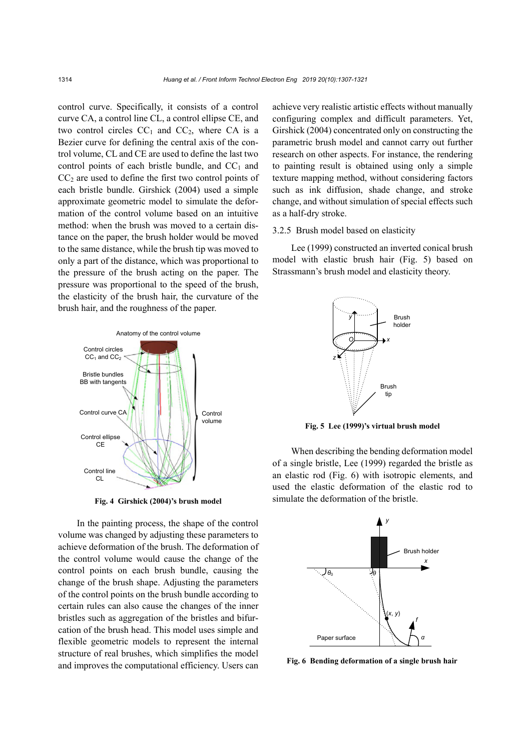control curve. Specifically, it consists of a control curve CA, a control line CL, a control ellipse CE, and two control circles  $CC_1$  and  $CC_2$ , where CA is a Bezier curve for defining the central axis of the control volume, CL and CE are used to define the last two control points of each bristle bundle, and  $CC_1$  and  $CC<sub>2</sub>$  are used to define the first two control points of each bristle bundle. Girshick (2004) used a simple approximate geometric model to simulate the deformation of the control volume based on an intuitive method: when the brush was moved to a certain distance on the paper, the brush holder would be moved to the same distance, while the brush tip was moved to only a part of the distance, which was proportional to the pressure of the brush acting on the paper. The pressure was proportional to the speed of the brush, the elasticity of the brush hair, the curvature of the brush hair, and the roughness of the paper.



**Fig. 4 Girshick (2004)'s brush model** 

In the painting process, the shape of the control volume was changed by adjusting these parameters to achieve deformation of the brush. The deformation of the control volume would cause the change of the control points on each brush bundle, causing the change of the brush shape. Adjusting the parameters of the control points on the brush bundle according to certain rules can also cause the changes of the inner bristles such as aggregation of the bristles and bifurcation of the brush head. This model uses simple and flexible geometric models to represent the internal structure of real brushes, which simplifies the model and improves the computational efficiency. Users can

achieve very realistic artistic effects without manually configuring complex and difficult parameters. Yet, Girshick (2004) concentrated only on constructing the parametric brush model and cannot carry out further research on other aspects. For instance, the rendering to painting result is obtained using only a simple texture mapping method, without considering factors such as ink diffusion, shade change, and stroke change, and without simulation of special effects such as a half-dry stroke.

#### 3.2.5 Brush model based on elasticity

Lee (1999) constructed an inverted conical brush model with elastic brush hair (Fig. 5) based on Strassmann's brush model and elasticity theory.



**Fig. 5 Lee (1999)'s virtual brush model**

When describing the bending deformation model of a single bristle, Lee (1999) regarded the bristle as an elastic rod (Fig. 6) with isotropic elements, and used the elastic deformation of the elastic rod to simulate the deformation of the bristle.



**Fig. 6 Bending deformation of a single brush hair**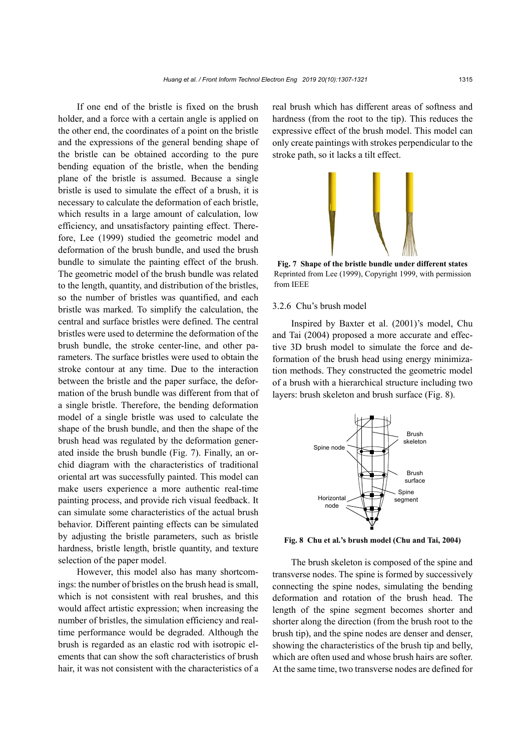If one end of the bristle is fixed on the brush holder, and a force with a certain angle is applied on the other end, the coordinates of a point on the bristle and the expressions of the general bending shape of the bristle can be obtained according to the pure bending equation of the bristle, when the bending plane of the bristle is assumed. Because a single bristle is used to simulate the effect of a brush, it is necessary to calculate the deformation of each bristle, which results in a large amount of calculation, low efficiency, and unsatisfactory painting effect. Therefore, Lee (1999) studied the geometric model and deformation of the brush bundle, and used the brush bundle to simulate the painting effect of the brush. The geometric model of the brush bundle was related to the length, quantity, and distribution of the bristles, so the number of bristles was quantified, and each bristle was marked. To simplify the calculation, the central and surface bristles were defined. The central bristles were used to determine the deformation of the brush bundle, the stroke center-line, and other parameters. The surface bristles were used to obtain the stroke contour at any time. Due to the interaction between the bristle and the paper surface, the deformation of the brush bundle was different from that of a single bristle. Therefore, the bending deformation model of a single bristle was used to calculate the shape of the brush bundle, and then the shape of the brush head was regulated by the deformation generated inside the brush bundle (Fig. 7). Finally, an orchid diagram with the characteristics of traditional oriental art was successfully painted. This model can make users experience a more authentic real-time painting process, and provide rich visual feedback. It can simulate some characteristics of the actual brush behavior. Different painting effects can be simulated by adjusting the bristle parameters, such as bristle hardness, bristle length, bristle quantity, and texture selection of the paper model.

However, this model also has many shortcomings: the number of bristles on the brush head is small, which is not consistent with real brushes, and this would affect artistic expression; when increasing the number of bristles, the simulation efficiency and realtime performance would be degraded. Although the brush is regarded as an elastic rod with isotropic elements that can show the soft characteristics of brush hair, it was not consistent with the characteristics of a real brush which has different areas of softness and hardness (from the root to the tip). This reduces the expressive effect of the brush model. This model can only create paintings with strokes perpendicular to the stroke path, so it lacks a tilt effect.



**Fig. 7 Shape of the bristle bundle under different states** Reprinted from Lee (1999), Copyright 1999, with permission from IEEE

# 3.2.6 Chu's brush model

Inspired by Baxter et al. (2001)'s model, Chu and Tai (2004) proposed a more accurate and effective 3D brush model to simulate the force and deformation of the brush head using energy minimization methods. They constructed the geometric model of a brush with a hierarchical structure including two layers: brush skeleton and brush surface (Fig. 8).



**Fig. 8 Chu et al.'s brush model (Chu and Tai, 2004)**

The brush skeleton is composed of the spine and transverse nodes. The spine is formed by successively connecting the spine nodes, simulating the bending deformation and rotation of the brush head. The length of the spine segment becomes shorter and shorter along the direction (from the brush root to the brush tip), and the spine nodes are denser and denser, showing the characteristics of the brush tip and belly, which are often used and whose brush hairs are softer. At the same time, two transverse nodes are defined for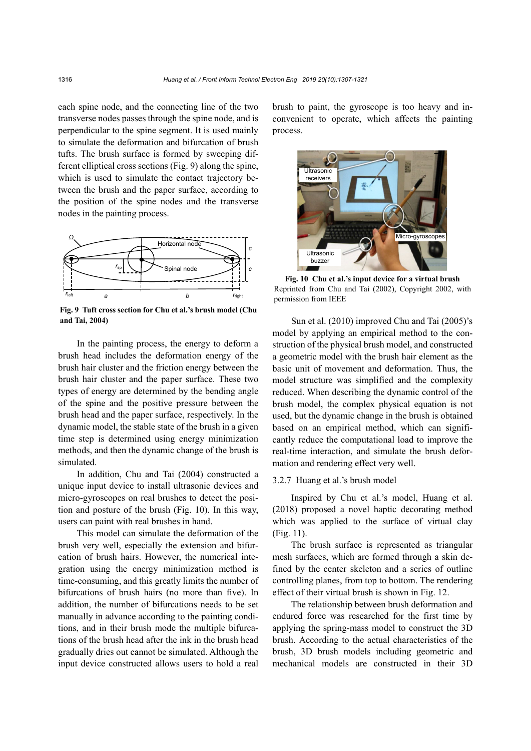each spine node, and the connecting line of the two transverse nodes passes through the spine node, and is perpendicular to the spine segment. It is used mainly to simulate the deformation and bifurcation of brush tufts. The brush surface is formed by sweeping different elliptical cross sections (Fig. 9) along the spine, which is used to simulate the contact trajectory between the brush and the paper surface, according to the position of the spine nodes and the transverse nodes in the painting process.



**Fig. 9 Tuft cross section for Chu et al.'s brush model (Chu and Tai, 2004)**

In the painting process, the energy to deform a brush head includes the deformation energy of the brush hair cluster and the friction energy between the brush hair cluster and the paper surface. These two types of energy are determined by the bending angle of the spine and the positive pressure between the brush head and the paper surface, respectively. In the dynamic model, the stable state of the brush in a given time step is determined using energy minimization methods, and then the dynamic change of the brush is simulated.

In addition, Chu and Tai (2004) constructed a unique input device to install ultrasonic devices and micro-gyroscopes on real brushes to detect the position and posture of the brush (Fig. 10). In this way, users can paint with real brushes in hand.

This model can simulate the deformation of the brush very well, especially the extension and bifurcation of brush hairs. However, the numerical integration using the energy minimization method is time-consuming, and this greatly limits the number of bifurcations of brush hairs (no more than five). In addition, the number of bifurcations needs to be set manually in advance according to the painting conditions, and in their brush mode the multiple bifurcations of the brush head after the ink in the brush head gradually dries out cannot be simulated. Although the input device constructed allows users to hold a real

brush to paint, the gyroscope is too heavy and inconvenient to operate, which affects the painting process.



**Fig. 10 Chu et al.'s input device for a virtual brush** Reprinted from Chu and Tai (2002), Copyright 2002, with

Sun et al. (2010) improved Chu and Tai (2005)'s model by applying an empirical method to the construction of the physical brush model, and constructed a geometric model with the brush hair element as the basic unit of movement and deformation. Thus, the model structure was simplified and the complexity reduced. When describing the dynamic control of the brush model, the complex physical equation is not used, but the dynamic change in the brush is obtained based on an empirical method, which can significantly reduce the computational load to improve the real-time interaction, and simulate the brush deformation and rendering effect very well.

#### 3.2.7 Huang et al.'s brush model

Inspired by Chu et al.'s model, Huang et al. (2018) proposed a novel haptic decorating method which was applied to the surface of virtual clay (Fig. 11).

The brush surface is represented as triangular mesh surfaces, which are formed through a skin defined by the center skeleton and a series of outline controlling planes, from top to bottom. The rendering effect of their virtual brush is shown in Fig. 12.

The relationship between brush deformation and endured force was researched for the first time by applying the spring-mass model to construct the 3D brush. According to the actual characteristics of the brush, 3D brush models including geometric and mechanical models are constructed in their 3D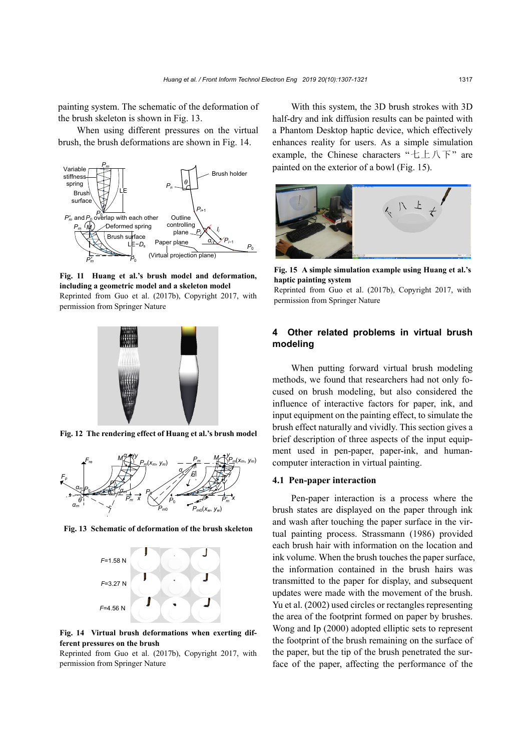painting system. The schematic of the deformation of the brush skeleton is shown in Fig. 13.

When using different pressures on the virtual brush, the brush deformations are shown in Fig. 14.



**Fig. 11 Huang et al.'s brush model and deformation, including a geometric model and a skeleton model** Reprinted from Guo et al. (2017b), Copyright 2017, with permission from Springer Nature



**Fig. 12 The rendering effect of Huang et al.'s brush model**



**Fig. 13 Schematic of deformation of the brush skeleton** 



**Fig. 14 Virtual brush deformations when exerting different pressures on the brush**

Reprinted from Guo et al. (2017b), Copyright 2017, with permission from Springer Nature

With this system, the 3D brush strokes with 3D half-dry and ink diffusion results can be painted with a Phantom Desktop haptic device, which effectively enhances reality for users. As a simple simulation example, the Chinese characters "七上八下" are painted on the exterior of a bowl (Fig. 15).



**Fig. 15 A simple simulation example using Huang et al.'s haptic painting system** 

Reprinted from Guo et al. (2017b), Copyright 2017, with permission from Springer Nature

# **4 Other related problems in virtual brush modeling**

When putting forward virtual brush modeling methods, we found that researchers had not only focused on brush modeling, but also considered the influence of interactive factors for paper, ink, and input equipment on the painting effect, to simulate the brush effect naturally and vividly. This section gives a brief description of three aspects of the input equipment used in pen-paper, paper-ink, and humancomputer interaction in virtual painting.

#### **4.1 Pen-paper interaction**

Pen-paper interaction is a process where the brush states are displayed on the paper through ink and wash after touching the paper surface in the virtual painting process. Strassmann (1986) provided each brush hair with information on the location and ink volume. When the brush touches the paper surface, the information contained in the brush hairs was transmitted to the paper for display, and subsequent updates were made with the movement of the brush. Yu et al. (2002) used circles or rectangles representing the area of the footprint formed on paper by brushes. Wong and Ip (2000) adopted elliptic sets to represent the footprint of the brush remaining on the surface of the paper, but the tip of the brush penetrated the surface of the paper, affecting the performance of the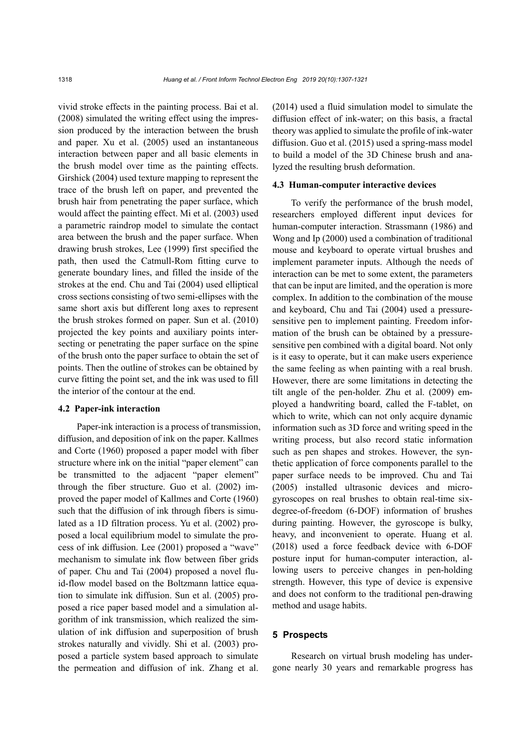vivid stroke effects in the painting process. Bai et al. (2008) simulated the writing effect using the impression produced by the interaction between the brush and paper. Xu et al. (2005) used an instantaneous interaction between paper and all basic elements in the brush model over time as the painting effects. Girshick (2004) used texture mapping to represent the trace of the brush left on paper, and prevented the brush hair from penetrating the paper surface, which would affect the painting effect. Mi et al. (2003) used a parametric raindrop model to simulate the contact area between the brush and the paper surface. When drawing brush strokes, Lee (1999) first specified the path, then used the Catmull-Rom fitting curve to generate boundary lines, and filled the inside of the strokes at the end. Chu and Tai (2004) used elliptical cross sections consisting of two semi-ellipses with the same short axis but different long axes to represent the brush strokes formed on paper. Sun et al. (2010) projected the key points and auxiliary points intersecting or penetrating the paper surface on the spine of the brush onto the paper surface to obtain the set of points. Then the outline of strokes can be obtained by curve fitting the point set, and the ink was used to fill the interior of the contour at the end.

#### **4.2 Paper-ink interaction**

Paper-ink interaction is a process of transmission, diffusion, and deposition of ink on the paper. Kallmes and Corte (1960) proposed a paper model with fiber structure where ink on the initial "paper element" can be transmitted to the adjacent "paper element" through the fiber structure. Guo et al. (2002) improved the paper model of Kallmes and Corte (1960) such that the diffusion of ink through fibers is simulated as a 1D filtration process. Yu et al. (2002) proposed a local equilibrium model to simulate the process of ink diffusion. Lee (2001) proposed a "wave" mechanism to simulate ink flow between fiber grids of paper. Chu and Tai (2004) proposed a novel fluid-flow model based on the Boltzmann lattice equation to simulate ink diffusion. Sun et al. (2005) proposed a rice paper based model and a simulation algorithm of ink transmission, which realized the simulation of ink diffusion and superposition of brush strokes naturally and vividly. Shi et al. (2003) proposed a particle system based approach to simulate the permeation and diffusion of ink. Zhang et al.

(2014) used a fluid simulation model to simulate the diffusion effect of ink-water; on this basis, a fractal theory was applied to simulate the profile of ink-water diffusion. Guo et al. (2015) used a spring-mass model to build a model of the 3D Chinese brush and analyzed the resulting brush deformation.

#### **4.3 Human-computer interactive devices**

To verify the performance of the brush model, researchers employed different input devices for human-computer interaction. Strassmann (1986) and Wong and Ip (2000) used a combination of traditional mouse and keyboard to operate virtual brushes and implement parameter inputs. Although the needs of interaction can be met to some extent, the parameters that can be input are limited, and the operation is more complex. In addition to the combination of the mouse and keyboard, Chu and Tai (2004) used a pressuresensitive pen to implement painting. Freedom information of the brush can be obtained by a pressuresensitive pen combined with a digital board. Not only is it easy to operate, but it can make users experience the same feeling as when painting with a real brush. However, there are some limitations in detecting the tilt angle of the pen-holder. Zhu et al. (2009) employed a handwriting board, called the F-tablet, on which to write, which can not only acquire dynamic information such as 3D force and writing speed in the writing process, but also record static information such as pen shapes and strokes. However, the synthetic application of force components parallel to the paper surface needs to be improved. Chu and Tai (2005) installed ultrasonic devices and microgyroscopes on real brushes to obtain real-time sixdegree-of-freedom (6-DOF) information of brushes during painting. However, the gyroscope is bulky, heavy, and inconvenient to operate. Huang et al. (2018) used a force feedback device with 6-DOF posture input for human-computer interaction, allowing users to perceive changes in pen-holding strength. However, this type of device is expensive and does not conform to the traditional pen-drawing method and usage habits.

#### **5 Prospects**

Research on virtual brush modeling has undergone nearly 30 years and remarkable progress has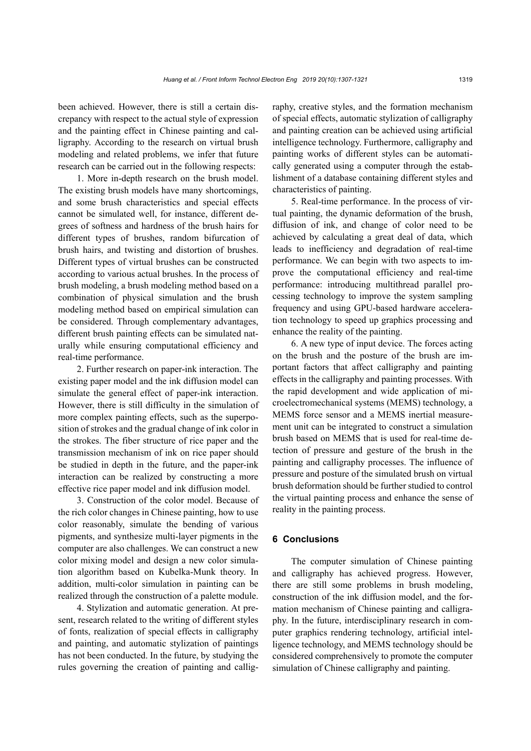been achieved. However, there is still a certain discrepancy with respect to the actual style of expression and the painting effect in Chinese painting and calligraphy. According to the research on virtual brush modeling and related problems, we infer that future research can be carried out in the following respects:

1. More in-depth research on the brush model. The existing brush models have many shortcomings, and some brush characteristics and special effects cannot be simulated well, for instance, different degrees of softness and hardness of the brush hairs for different types of brushes, random bifurcation of brush hairs, and twisting and distortion of brushes. Different types of virtual brushes can be constructed according to various actual brushes. In the process of brush modeling, a brush modeling method based on a combination of physical simulation and the brush modeling method based on empirical simulation can be considered. Through complementary advantages, different brush painting effects can be simulated naturally while ensuring computational efficiency and real-time performance.

2. Further research on paper-ink interaction. The existing paper model and the ink diffusion model can simulate the general effect of paper-ink interaction. However, there is still difficulty in the simulation of more complex painting effects, such as the superposition of strokes and the gradual change of ink color in the strokes. The fiber structure of rice paper and the transmission mechanism of ink on rice paper should be studied in depth in the future, and the paper-ink interaction can be realized by constructing a more effective rice paper model and ink diffusion model.

3. Construction of the color model. Because of the rich color changes in Chinese painting, how to use color reasonably, simulate the bending of various pigments, and synthesize multi-layer pigments in the computer are also challenges. We can construct a new color mixing model and design a new color simulation algorithm based on Kubelka-Munk theory. In addition, multi-color simulation in painting can be realized through the construction of a palette module.

4. Stylization and automatic generation. At present, research related to the writing of different styles of fonts, realization of special effects in calligraphy and painting, and automatic stylization of paintings has not been conducted. In the future, by studying the rules governing the creation of painting and calligraphy, creative styles, and the formation mechanism of special effects, automatic stylization of calligraphy and painting creation can be achieved using artificial intelligence technology. Furthermore, calligraphy and painting works of different styles can be automatically generated using a computer through the establishment of a database containing different styles and characteristics of painting.

5. Real-time performance. In the process of virtual painting, the dynamic deformation of the brush, diffusion of ink, and change of color need to be achieved by calculating a great deal of data, which leads to inefficiency and degradation of real-time performance. We can begin with two aspects to improve the computational efficiency and real-time performance: introducing multithread parallel processing technology to improve the system sampling frequency and using GPU-based hardware acceleration technology to speed up graphics processing and enhance the reality of the painting.

6. A new type of input device. The forces acting on the brush and the posture of the brush are important factors that affect calligraphy and painting effects in the calligraphy and painting processes. With the rapid development and wide application of microelectromechanical systems (MEMS) technology, a MEMS force sensor and a MEMS inertial measurement unit can be integrated to construct a simulation brush based on MEMS that is used for real-time detection of pressure and gesture of the brush in the painting and calligraphy processes. The influence of pressure and posture of the simulated brush on virtual brush deformation should be further studied to control the virtual painting process and enhance the sense of reality in the painting process.

#### **6 Conclusions**

The computer simulation of Chinese painting and calligraphy has achieved progress. However, there are still some problems in brush modeling, construction of the ink diffusion model, and the formation mechanism of Chinese painting and calligraphy. In the future, interdisciplinary research in computer graphics rendering technology, artificial intelligence technology, and MEMS technology should be considered comprehensively to promote the computer simulation of Chinese calligraphy and painting.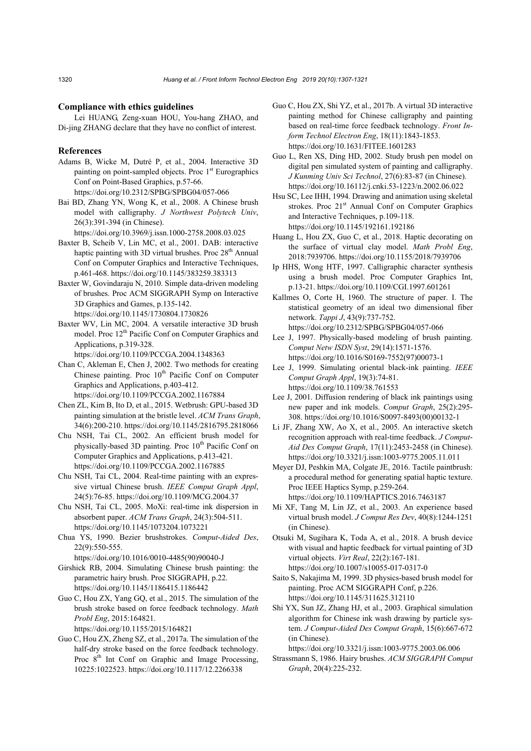#### **Compliance with ethics guidelines**

Lei HUANG, Zeng-xuan HOU, You-hang ZHAO, and Di-jing ZHANG declare that they have no conflict of interest.

# **References**

- Adams B, Wicke M, Dutré P, et al., 2004. Interactive 3D painting on point-sampled objects. Proc  $1<sup>st</sup>$  Eurographics Conf on Point-Based Graphics, p.57-66. https://doi.org/10.2312/SPBG/SPBG04/057-066
- Bai BD, Zhang YN, Wong K, et al., 2008. A Chinese brush model with calligraphy. *J Northwest Polytech Univ*, 26(3):391-394 (in Chinese).

https://doi.org/10.3969/j.issn.1000-2758.2008.03.025

- Baxter B, Scheib V, Lin MC, et al., 2001. DAB: interactive haptic painting with 3D virtual brushes. Proc  $28<sup>th</sup>$  Annual Conf on Computer Graphics and Interactive Techniques, p.461-468. https://doi.org/10.1145/383259.383313
- Baxter W, Govindaraju N, 2010. Simple data-driven modeling of brushes. Proc ACM SIGGRAPH Symp on Interactive 3D Graphics and Games, p.135-142. https://doi.org/10.1145/1730804.1730826
- Baxter WV, Lin MC, 2004. A versatile interactive 3D brush model. Proc 12<sup>th</sup> Pacific Conf on Computer Graphics and Applications, p.319-328. https://doi.org/10.1109/PCCGA.2004.1348363
- Chan C, Akleman E, Chen J, 2002. Two methods for creating Chinese painting. Proc 10<sup>th</sup> Pacific Conf on Computer Graphics and Applications, p.403-412. https://doi.org/10.1109/PCCGA.2002.1167884
- Chen ZL, Kim B, Ito D, et al., 2015. Wetbrush: GPU-based 3D painting simulation at the bristle level. *ACM Trans Graph*, 34(6):200-210. https://doi.org/10.1145/2816795.2818066
- Chu NSH, Tai CL, 2002. An efficient brush model for physically-based 3D painting. Proc 10<sup>th</sup> Pacific Conf on Computer Graphics and Applications, p.413-421. https://doi.org/10.1109/PCCGA.2002.1167885
- Chu NSH, Tai CL, 2004. Real-time painting with an expressive virtual Chinese brush. *IEEE Comput Graph Appl*, 24(5):76-85. https://doi.org/10.1109/MCG.2004.37
- Chu NSH, Tai CL, 2005. MoXi: real-time ink dispersion in absorbent paper. *ACM Trans Graph*, 24(3):504-511. https://doi.org/10.1145/1073204.1073221
- Chua YS, 1990. Bezier brushstrokes. *Comput*-*Aided Des*, 22(9):550-555.

https://doi.org/10.1016/0010-4485(90)90040-J

Girshick RB, 2004. Simulating Chinese brush painting: the parametric hairy brush. Proc SIGGRAPH, p.22. https://doi.org/10.1145/1186415.1186442

Guo C, Hou ZX, Yang GQ, et al., 2015. The simulation of the brush stroke based on force feedback technology. *Math Probl Eng*, 2015:164821.

https://doi.org/10.1155/2015/164821

Guo C, Hou ZX, Zheng SZ, et al., 2017a. The simulation of the half-dry stroke based on the force feedback technology. Proc 8<sup>th</sup> Int Conf on Graphic and Image Processing, 10225:1022523. https://doi.org/10.1117/12.2266338

- Guo C, Hou ZX, Shi YZ, et al., 2017b. A virtual 3D interactive painting method for Chinese calligraphy and painting based on real-time force feedback technology. *Front Inform Technol Electron Eng*, 18(11):1843-1853. https://doi.org/10.1631/FITEE.1601283
- Guo L, Ren XS, Ding HD, 2002. Study brush pen model on digital pen simulated system of painting and calligraphy. *J Kunming Univ Sci Technol*, 27(6):83-87 (in Chinese). https://doi.org/10.16112/j.cnki.53-1223/n.2002.06.022
- Hsu SC, Lee IHH, 1994. Drawing and animation using skeletal strokes. Proc 21<sup>st</sup> Annual Conf on Computer Graphics and Interactive Techniques, p.109-118. https://doi.org/10.1145/192161.192186
- Huang L, Hou ZX, Guo C, et al., 2018. Haptic decorating on the surface of virtual clay model. *Math Probl Eng*, 2018:7939706. https://doi.org/10.1155/2018/7939706
- Ip HHS, Wong HTF, 1997. Calligraphic character synthesis using a brush model. Proc Computer Graphics Int, p.13-21. https://doi.org/10.1109/CGI.1997.601261
- Kallmes O, Corte H, 1960. The structure of paper. I. The statistical geometry of an ideal two dimensional fiber network. *Tappi J*, 43(9):737-752. https://doi.org/10.2312/SPBG/SPBG04/057-066
- Lee J, 1997. Physically-based modeling of brush painting. *Comput Netw ISDN Syst*, 29(14):1571-1576. https://doi.org/10.1016/S0169-7552(97)00073-1
- Lee J, 1999. Simulating oriental black-ink painting. *IEEE Comput Graph Appl*, 19(3):74-81. https://doi.org/10.1109/38.761553
- Lee J, 2001. Diffusion rendering of black ink paintings using new paper and ink models. *Comput Graph*, 25(2):295- 308. https://doi.org/10.1016/S0097-8493(00)00132-1
- Li JF, Zhang XW, Ao X, et al., 2005. An interactive sketch recognition approach with real-time feedback. *J Comput*-*Aid Des Comput Graph*, 17(11):2453-2458 (in Chinese). https://doi.org/10.3321/j.issn:1003-9775.2005.11.011

Meyer DJ, Peshkin MA, Colgate JE, 2016. Tactile paintbrush: a procedural method for generating spatial haptic texture. Proc IEEE Haptics Symp, p.259-264. https://doi.org/10.1109/HAPTICS.2016.7463187

- Mi XF, Tang M, Lin JZ, et al., 2003. An experience based virtual brush model. *J Comput Res Dev*, 40(8):1244-1251 (in Chinese).
- Otsuki M, Sugihara K, Toda A, et al., 2018. A brush device with visual and haptic feedback for virtual painting of 3D virtual objects. *Virt Real*, 22(2):167-181. https://doi.org/10.1007/s10055-017-0317-0
- Saito S, Nakajima M, 1999. 3D physics-based brush model for painting. Proc ACM SIGGRAPH Conf, p.226. https://doi.org/10.1145/311625.312110
- Shi YX, Sun JZ, Zhang HJ, et al., 2003. Graphical simulation algorithm for Chinese ink wash drawing by particle system. *J Comput-Aided Des Comput Graph*, 15(6):667-672 (in Chinese).

https://doi.org/10.3321/j.issn:1003-9775.2003.06.006

Strassmann S, 1986. Hairy brushes. *ACM SIGGRAPH Comput Graph*, 20(4):225-232.